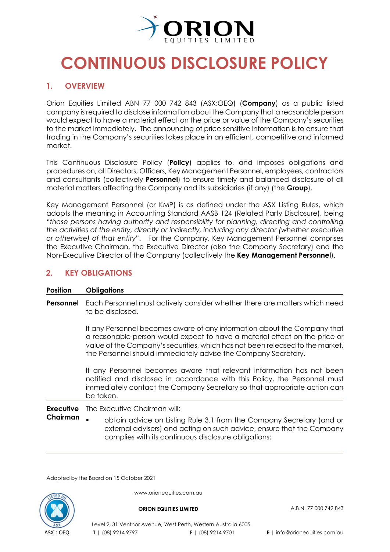

# **CONTINUOUS DISCLOSURE POLICY**

# **1. OVERVIEW**

Orion Equities Limited ABN 77 000 742 843 (ASX[:OEQ\)](https://www2.asx.com.au/markets/company/oeq) (**Company**) as a public listed company is required to disclose information about the Company that a reasonable person would expect to have a material effect on the price or value of the Company's securities to the market immediately. The announcing of price sensitive information is to ensure that trading in the Company's securities takes place in an efficient, competitive and informed market.

This Continuous Disclosure Policy (**Policy**) applies to, and imposes obligations and procedures on, all Directors, Officers, Key Management Personnel, employees, contractors and consultants (collectively **Personnel**) to ensure timely and balanced disclosure of all material matters affecting the Company and its subsidiaries (if any) (the **Group**).

Key Management Personnel (or KMP) is as defined under the ASX Listing Rules, which adopts the meaning in Accounting Standard AASB 124 (Related Party Disclosure), being "*those persons having authority and responsibility for planning, directing and controlling the activities of the entity, directly or indirectly, including any director (whether executive or otherwise) of that entity*". For the Company, Key Management Personnel comprises the Executive Chairman, the Executive Director (also the Company Secretary) and the Non-Executive Director of the Company (collectively the **Key Management Personnel**).

## **2. KEY OBLIGATIONS**

#### **Position Obligations**

**Personnel** Each Personnel must actively consider whether there are matters which need to be disclosed.

> If any Personnel becomes aware of any information about the Company that a reasonable person would expect to have a material effect on the price or value of the Company's securities, which has not been released to the market, the Personnel should immediately advise the Company Secretary.

> If any Personnel becomes aware that relevant information has not been notified and disclosed in accordance with this Policy, the Personnel must immediately contact the Company Secretary so that appropriate action can be taken.

**Executive** The Executive Chairman will:

**Chairman** obtain advice on Listing Rule 3.1 from the Company Secretary (and or external advisers) and acting on such advice, ensure that the Company complies with its continuous disclosure obligations;

Adopted by the Board on 15 October 2021



www.orionequities.com.au

**ORION EQUITIES LIMITED** A.B.N. 77 000 742 843

Level 2, 31 Ventnor Avenue, West Perth, Western Australia 6005 **T** | (08) 9214 9797 **F** | (08) 9214 9701 **E** | info@orionequities.com.au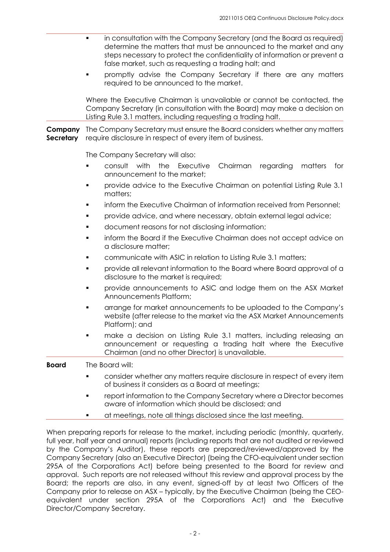- **•** in consultation with the Company Secretary (and the Board as required) determine the matters that must be announced to the market and any steps necessary to protect the confidentiality of information or prevent a false market, such as requesting a trading halt; and
- promptly advise the Company Secretary if there are any matters required to be announced to the market.

Where the Executive Chairman is unavailable or cannot be contacted, the Company Secretary (in consultation with the Board) may make a decision on Listing Rule 3.1 matters, including requesting a trading halt.

**Company**  The Company Secretary must ensure the Board considers whether any matters **Secretary** require disclosure in respect of every item of business.

The Company Secretary will also:

- consult with the Executive Chairman regarding matters for announcement to the market;
- provide advice to the Executive Chairman on potential Listing Rule 3.1 matters;
- inform the Executive Chairman of information received from Personnel;
- provide advice, and where necessary, obtain external legal advice;
- document reasons for not disclosing information;
- inform the Board if the Executive Chairman does not accept advice on a disclosure matter;
- communicate with ASIC in relation to Listing Rule 3.1 matters;
- provide all relevant information to the Board where Board approval of a disclosure to the market is required;
- provide announcements to ASIC and lodge them on the ASX Market Announcements Platform;
- arrange for market announcements to be uploaded to the Company's website (after release to the market via the ASX Market Announcements Platform); and
- **numake a decision on Listing Rule 3.1 matters, including releasing an** announcement or requesting a trading halt where the Executive Chairman (and no other Director) is unavailable.

**Board** The Board will:

- consider whether any matters require disclosure in respect of every item of business it considers as a Board at meetings;
- report information to the Company Secretary where a Director becomes aware of information which should be disclosed; and
- at meetings, note all things disclosed since the last meeting.

When preparing reports for release to the market, including periodic (monthly, quarterly, full year, half year and annual) reports (including reports that are not audited or reviewed by the Company's Auditor), these reports are prepared/reviewed/approved by the Company Secretary (also an Executive Director) (being the CFO-equivalent under [section](http://www.austlii.edu.au/au/legis/cth/consol_act/ca2001172/s295a.html)  [295A](http://www.austlii.edu.au/au/legis/cth/consol_act/ca2001172/s295a.html) of the Corporations Act) before being presented to the Board for review and approval. Such reports are not released without this review and approval process by the Board; the reports are also, in any event, signed-off by at least two Officers of the Company prior to release on ASX – typically, by the Executive Chairman (being the CEOequivalent under [section 295A](http://www.austlii.edu.au/au/legis/cth/consol_act/ca2001172/s295a.html) of the Corporations Act) and the Executive Director/Company Secretary.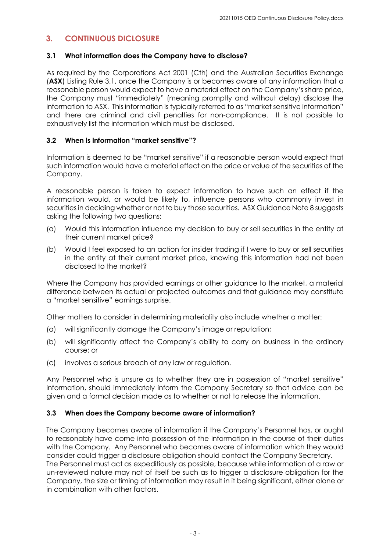# **3. CONTINUOUS DICLOSURE**

#### **3.1 What information does the Company have to disclose?**

As required by the Corporations Act 2001 (Cth) and the Australian Securities Exchange (**ASX**) Listing Rule 3.1, once the Company is or becomes aware of any information that a reasonable person would expect to have a material effect on the Company's share price, the Company must "immediately" (meaning promptly and without delay) disclose the information to ASX. This information is typically referred to as "market sensitive information" and there are criminal and civil penalties for non-compliance. It is not possible to exhaustively list the information which must be disclosed.

#### **3.2 When is information "market sensitive"?**

Information is deemed to be "market sensitive" if a reasonable person would expect that such information would have a material effect on the price or value of the securities of the Company.

A reasonable person is taken to expect information to have such an effect if the information would, or would be likely to, influence persons who commonly invest in securities in deciding whether or not to buy those securities. ASX Guidance Note 8 suggests asking the following two questions:

- (a) Would this information influence my decision to buy or sell securities in the entity at their current market price?
- (b) Would I feel exposed to an action for insider trading if I were to buy or sell securities in the entity at their current market price, knowing this information had not been disclosed to the market?

Where the Company has provided earnings or other guidance to the market, a material difference between its actual or projected outcomes and that guidance may constitute a "market sensitive" earnings surprise.

Other matters to consider in determining materiality also include whether a matter:

- (a) will significantly damage the Company's image or reputation;
- (b) will significantly affect the Company's ability to carry on business in the ordinary course; or
- (c) involves a serious breach of any law or regulation.

Any Personnel who is unsure as to whether they are in possession of "market sensitive" information, should immediately inform the Company Secretary so that advice can be given and a formal decision made as to whether or not to release the information.

#### **3.3 When does the Company become aware of information?**

The Company becomes aware of information if the Company's Personnel has, or ought to reasonably have come into possession of the information in the course of their duties with the Company. Any Personnel who becomes aware of information which they would consider could trigger a disclosure obligation should contact the Company Secretary. The Personnel must act as expeditiously as possible, because while information of a raw or un-reviewed nature may not of itself be such as to trigger a disclosure obligation for the Company, the size or timing of information may result in it being significant, either alone or in combination with other factors.